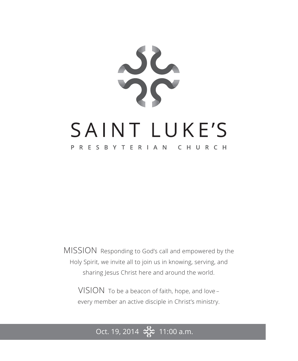

MISSION Responding to God's call and empowered by the Holy Spirit, we invite all to join us in knowing, serving, and sharing Jesus Christ here and around the world.

VISION To be a beacon of faith, hope, and love – every member an active disciple in Christ's ministry.

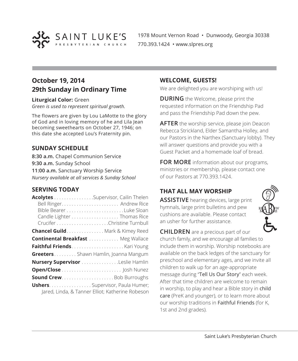

1978 Mount Vernon Road • Dunwoody, Georgia 30338 770.393.1424 • www.slpres.org

# **October 19, 2014 29th Sunday in Ordinary Time**

**Liturgical Color:** Green

*Green is used to represent spiritual growth.* 

The flowers are given by Lou LaMotte to the glory of God and in loving memory of he and Lila Jean becoming sweethearts on October 27, 1946; on this date she accepted Lou's Fraternity pin.

## **SUNDAY SCHEDULE**

**8:30 a.m.** Chapel Communion Service **9:30 a.m.** Sunday School **11:00 a.m.** Sanctuary Worship Service *Nursery available at all services & Sunday School*

## **SERVING TODAY**

| Acolytes Supervisor, Cailin Thelen        |                                                  |
|-------------------------------------------|--------------------------------------------------|
|                                           |                                                  |
|                                           |                                                  |
|                                           | Candle Lighter Thomas Rice                       |
|                                           |                                                  |
| <b>Chancel Guild</b> Mark & Kimey Reed    |                                                  |
| <b>Continental Breakfast  Meg Wallace</b> |                                                  |
|                                           |                                                  |
| GreetersShawn Hamlin, Joanna Mangum       |                                                  |
| Nursery Supervisor Leslie Hamlin          |                                                  |
|                                           |                                                  |
| <b>Sound CrewBob Burroughs</b>            |                                                  |
| <b>Ushers.</b> Supervisor, Paula Humer;   | Jared, Linda, & Tanner Elliot; Katherine Robeson |

### **WELCOME, GUESTS!**

We are delighted you are worshiping with us!

**DURING** the Welcome, please print the requested information on the Friendship Pad and pass the Friendship Pad down the pew.

**AFTER** the worship service, please join Deacon Rebecca Strickland, Elder Samantha Holley, and our Pastors in the Narthex (Sanctuary lobby). They will answer questions and provide you with a Guest Packet and a homemade loaf of bread.

**FOR MORE** information about our programs, ministries or membership, please contact one of our Pastors at 770.393.1424.

## **THAT ALL MAY WORSHIP**

**ASSISTIVE** hearing devices, large print hymnals, large print bulletins and pew cushions are available. Please contact an usher for further assistance.



**CHILDREN** are a precious part of our church family, and we encourage all families to include them in worship. Worship notebooks are available on the back ledges of the sanctuary for preschool and elementary ages, and we invite all children to walk up for an age-appropriate message during "Tell Us Our Story" each week. After that time children are welcome to remain in worship, to play and hear a Bible story in child care (PreK and younger), or to learn more about our worship traditions in Faithful Friends (for K, 1st and 2nd grades).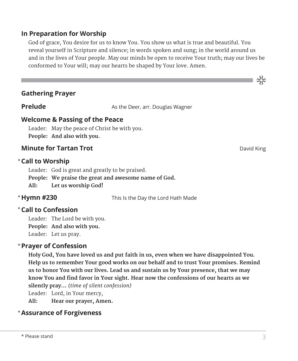## **In Preparation for Worship**

 God of grace, You desire for us to know You. You show us what is true and beautiful. You reveal yourself in Scripture and silence; in words spoken and sung; in the world around us and in the lives of Your people. May our minds be open to receive Your truth; may our lives be conformed to Your will; may our hearts be shaped by Your love. Amen.

## **Gathering Prayer**

**Prelude** As the Deer, arr. Douglas Wagner

## **Welcome & Passing of the Peace**

Leader: May the peace of Christ be with you. **People: And also with you.**

## **Minute for Tartan Trot David King School Constanting Constanting Constanting Constanting Constanting Constanting Constanting Constanting Constanting Constanting Constanting Constanting Constanting Constanting Constantin**

### **Call to Worship** \*

Leader: God is great and greatly to be praised.

**People: We praise the great and awesome name of God.**

**All: Let us worship God!**

## \* Hymn #230

This Is the Day the Lord Hath Made

## **Call to Confession**  \*

Leader: The Lord be with you. **People: And also with you.** Leader: Let us pray.

## **Prayer of Confession**  \*

 **Holy God, You have loved us and put faith in us, even when we have disappointed You. Help us to remember Your good works on our behalf and to trust Your promises. Remind us to honor You with our lives. Lead us and sustain us by Your presence, that we may know You and find favor in Your sight. Hear now the confessions of our hearts as we silently pray...** *(time of silent confession)*

Leader: Lord, in Your mercy,

**All: Hear our prayer, Amen.**

## **Assurance of Forgiveness** \*

ာင်း<br>သင်္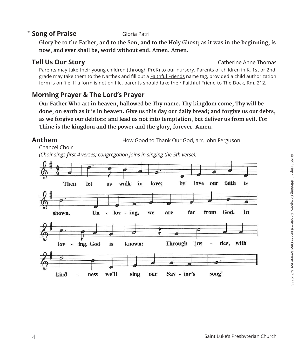## **Song of Praise** Gloria Patri

 **Glory be to the Father, and to the Son, and to the Holy Ghost; as it was in the beginning, is now, and ever shall be, world without end. Amen. Amen.**

**Tell Us Our Story Catherine Anne Thomas** 

 Parents may take their young children (through PreK) to our nursery. Parents of children in K, 1st or 2nd grade may take them to the Narthex and fill out a **Faithful Friends** name tag, provided a child authorization form is on file. If a form is not on file, parents should take their Faithful Friend to The Dock, Rm. 212.

## **Morning Prayer & The Lord's Prayer**

 **Our Father Who art in heaven, hallowed be Thy name. Thy kingdom come, Thy will be done, on earth as it is in heaven. Give us this day our daily bread; and forgive us our debts, as we forgive our debtors; and lead us not into temptation, but deliver us from evil. For Thine is the kingdom and the power and the glory, forever. Amen.**

**Anthem** How Good to Thank Our God, arr. John Ferguson

Chancel Choir

 *(Choir sings first 4 verses; congregation joins in singing the 5th verse):*

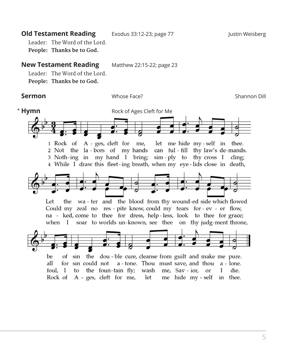## **Old Testament Reading** Exodus 33:12-23; page 77 **Figure 11 Ultimate 10 Augustin Weisberg**

Leader: The Word of the Lord. **People: Thanks be to God.** 

#### **New Testament Reading** Matthew 22:15-22; page 23

Leader: The Word of the Lord.

**People: Thanks be to God.**

**Sermon** Whose Face? Shannon Dill

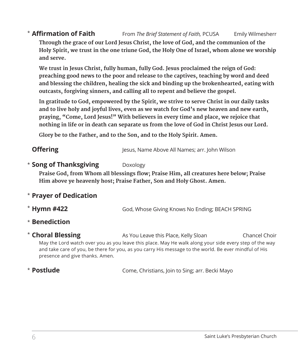#### **Affirmation of Faith** From *The Brief Statement of Faith,* PCUSA Emily Wilmesherr **\* Affirmation of Faith**

 **Through the grace of our Lord Jesus Christ, the love of God, and the communion of the Holy Spirit, we trust in the one triune God, the Holy One of Israel, whom alone we worship and serve.**

 **We trust in Jesus Christ, fully human, fully God. Jesus proclaimed the reign of God: preaching good news to the poor and release to the captives, teaching by word and deed and blessing the children, healing the sick and binding up the brokenhearted, eating with outcasts, forgiving sinners, and calling all to repent and believe the gospel.** 

 **In gratitude to God, empowered by the Spirit, we strive to serve Christ in our daily tasks and to live holy and joyful lives, even as we watch for God's new heaven and new earth, praying, "Come, Lord Jesus!" With believers in every time and place, we rejoice that nothing in life or in death can separate us from the love of God in Christ Jesus our Lord.**

**Glory be to the Father, and to the Son, and to the Holy Spirit. Amen.**

| <b>Offering</b> | Jesus, Name Above All Names; arr. John Wilson |
|-----------------|-----------------------------------------------|
|                 |                                               |

### **\* Song of Thanksgiving** Doxology

**Praise God, from Whom all blessings flow; Praise Him, all creatures here below; Praise Him above ye heavenly host; Praise Father, Son and Holy Ghost. Amen.**

## **Prayer of Dedication** \*

- God, Whose Giving Knows No Ending; BEACH SPRING \* Hymn #422
- **Benediction** \*
- As You Leave this Place, Kelly Sloan **Chancel Choir**  May the Lord watch over you as you leave this place. May He walk along your side every step of the way and take care of you, be there for you, as you carry His message to the world. Be ever mindful of His presence and give thanks. Amen. \* Choral Blessing

## \* Postlude

Come, Christians, Join to Sing; arr. Becki Mayo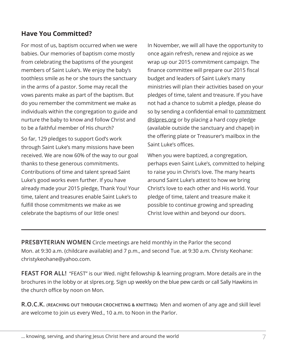## **Have You Committed?**

For most of us, baptism occurred when we were babies. Our memories of baptism come mostly from celebrating the baptisms of the youngest members of Saint Luke's. We enjoy the baby's toothless smile as he or she tours the sanctuary in the arms of a pastor. Some may recall the vows parents make as part of the baptism. But do you remember the commitment we make as individuals within the congregation to guide and nurture the baby to know and follow Christ and to be a faithful member of His church?

So far, 129 pledges to support God's work through Saint Luke's many missions have been received. We are now 60% of the way to our goal thanks to these generous commitments. Contributions of time and talent spread Saint Luke's good works even further. If you have already made your 2015 pledge, Thank You! Your time, talent and treasures enable Saint Luke's to fulfill those commitments we make as we celebrate the baptisms of our little ones!

In November, we will all have the opportunity to once again refresh, renew and rejoice as we wrap up our 2015 commitment campaign. The finance committee will prepare our 2015 fiscal budget and leaders of Saint Luke's many ministries will plan their activities based on your pledges of time, talent and treasure. If you have not had a chance to submit a pledge, please do so by sending a confidential email to commitment @slpres.org or by placing a hard copy pledge (available outside the sanctuary and chapel) in the offering plate or Treasurer's mailbox in the Saint Luke's offices.

When you were baptized, a congregation, perhaps even Saint Luke's, committed to helping to raise you in Christ's love. The many hearts around Saint Luke's attest to how we bring Christ's love to each other and His world. Your pledge of time, talent and treasure make it possible to continue growing and spreading Christ love within and beyond our doors.

**PRESBYTERIAN WOMEN** Circle meetings are held monthly in the Parlor the second Mon. at 9:30 a.m. (childcare available) and 7 p.m., and second Tue. at 9:30 a.m. Christy Keohane: christykeohane@yahoo.com.

**FEAST FOR ALL!** "FEAST" is our Wed. night fellowship & learning program. More details are in the brochures in the lobby or at slpres.org. Sign up weekly on the blue pew cards or call Sally Hawkins in the church office by noon on Mon.

**R.O.C.K. (REACHING OUT THROUGH CROCHETING & KNITTING)** Men and women of any age and skill level are welcome to join us every Wed., 10 a.m. to Noon in the Parlor.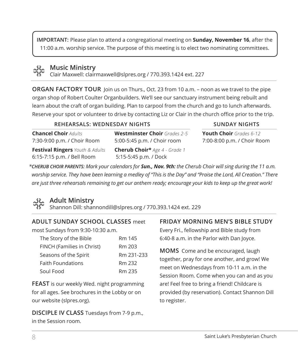**IMPORTANT:** Please plan to attend a congregational meeting on **Sunday, November 16**, after the 11:00 a.m. worship service. The purpose of this meeting is to elect two nominating committees.



## **Music Ministry**

Clair Maxwell: clairmaxwell@slpres.org / 770.393.1424 ext. 227

**ORGAN FACTORY TOUR** Join us on Thurs., Oct. 23 from 10 a.m. – noon as we travel to the pipe organ shop of Robert Coulter Organbuilders. We'll see our sanctuary instrument being rebuilt and learn about the craft of organ building. Plan to carpool from the church and go to lunch afterwards. Reserve your spot or volunteer to drive by contacting Liz or Clair in the church office prior to the trip.

#### **REHEARSALS: WEDNESDAY NIGHTS SUNDAY NIGHTS**

**Chancel Choir** *Adults* 7:30-9:00 p.m. / Choir Room **Festival Ringers** *Youth & Adults*  6:15-7:15 p.m. / Bell Room

## **Westminster Choir** *Grades 2-5* 5:00-5:45 p.m. / Choir room **Cherub Choir\*** *Age 4 - Grade 1* 5:15-5:45 p.m. / Dock

### **Youth Choir** *Grades 6-12* 7:00-8:00 p.m. / Choir Room

*\*CHERUB CHOIR PARENTS: Mark your calendars for Sun., Nov. 9th: the Cherub Choir will sing during the 11 a.m. worship service. They have been learning a medley of "This is the Day" and "Praise the Lord, All Creation." There*  are just three rehearsals remaining to get our anthem ready; encourage your kids to keep up the great work!



## **Adult Ministry**

Shannon Dill: shannondill@slpres.org / 770.393.1424 ext. 229

## **ADULT SUNDAY SCHOOL CLASSES** meet

most Sundays from 9:30-10:30 a.m.

| The Story of the Bible     | Rm 145     |
|----------------------------|------------|
| FINCH (Families in Christ) | Rm 203     |
| Seasons of the Spirit      | Rm 231-233 |
| <b>Faith Foundations</b>   | Rm 232     |
| Soul Food                  | Rm 235     |

**FEAST** is our weekly Wed. night programming for all ages. See brochures in the Lobby or on our website (slpres.org).

**DISCIPLE IV CLASS** Tuesdays from 7-9 p.m., in the Session room.

## **FRIDAY MORNING MEN'S BIBLE STUDY**

Every Fri., fellowship and Bible study from 6:40-8 a.m. in the Parlor with Dan Joyce.

**MOMS** Come and be encouraged, laugh together, pray for one another, and grow! We meet on Wednesdays from 10-11 a.m. in the Session Room. Come when you can and as you are! Feel free to bring a friend! Childcare is provided (by reservation). Contact Shannon Dill to register.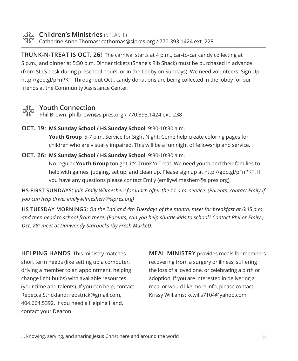

**Children's Ministries** (SPLASH!) Catherine Anne Thomas: cathomas@slpres.org / 770.393.1424 ext. 228

**TRUNK-N-TREAT IS OCT. 26!** The carnival starts at 4 p.m., car-to-car candy collecting at 5 p.m., and dinner at 5:30 p.m. Dinner tickets (Shane's Rib Shack) must be purchased in advance (from SLLS desk during preschool hours, or in the Lobby on Sundays). We need volunteers! Sign Up: http://goo.gl/pFnPKT. Throughout Oct., candy donations are being collected in the lobby for our friends at the Community Assistance Center.

## **Youth Connection**

Phil Brown: philbrown@slpres.org / 770.393.1424 ext. 238

- **OCT. 19: MS Sunday School / HS Sunday School** 9:30-10:30 a.m. **Youth Group** 5-7 p.m. Service for Sight Night: Come help create coloring pages for children who are visually impaired. This will be a fun night of fellowship and service.
- **OCT. 26: MS Sunday School / HS Sunday School** 9:30-10:30 a.m. No regular **Youth Group** tonight, it's Trunk 'n Treat! We need youth and their families to help with games, judging, set up, and clean up. Please sign up at http://goo.gl/pFnPKT. If you have any questions please contact Emily (emilywilmesherr@slpres.org).

**HS FIRST SUNDAYS:** *Join Emily Wilmesherr for lunch after the 11 a.m. service. (Parents, contact Emily if you can help drive: emilywilmesherr@slpres.org)*

**HS TUESDAY MORNINGS:** *On the 2nd and 4th Tuesdays of the month, meet for breakfast at 6:45 a.m.* and then head to school from there. (Parents, can you help shuttle kids to school? Contact Phil or Emily.) *Oct. 28: meet at Dunwoody Starbucks (by Fresh Market).*

**HELPING HANDS** This ministry matches short term needs (like setting up a computer, driving a member to an appointment, helping change light bulbs) with available resources (your time and talents). If you can help, contact Rebecca Strickland: rebstrick@gmail.com, 404.664.5392. If you need a Helping Hand, contact your Deacon.

**MEAL MINISTRY** provides meals for members recovering from a surgery or illness, suffering the loss of a loved one, or celebrating a birth or adoption. If you are interested in delivering a meal or would like more info, please contact Krissy Williams: kcwills7104@yahoo.com.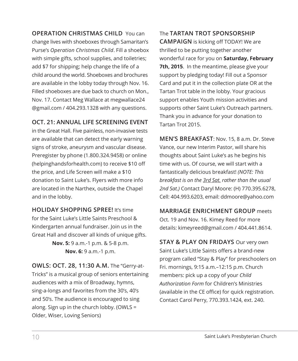**OPERATION CHRISTMAS CHILD** You can change lives with shoeboxes through Samaritan's Purse's *Operation Christmas Child*. Fill a shoebox with simple gifts, school supplies, and toiletries; add \$7 for shipping; help change the life of a child around the world. Shoeboxes and brochures are available in the lobby today through Nov. 16. Filled shoeboxes are due back to church on Mon., Nov. 17. Contact Meg Wallace at megwallace24 @gmail.com / 404.293.1328 with any questions.

## **OCT. 21: ANNUAL LIFE SCREENING EVENT**

in the Great Hall. Five painless, non-invasive tests are available that can detect the early warning signs of stroke, aneurysm and vascular disease. Preregister by phone (1.800.324.9458) or online (helpinghandsforhealth.com) to receive \$10 off the price, and Life Screen will make a \$10 donation to Saint Luke's. Flyers with more info are located in the Narthex, outside the Chapel and in the lobby.

**HOLIDAY SHOPPING SPREE!** It's time for the Saint Luke's Little Saints Preschool & Kindergarten annual fundraiser. Join us in the Great Hall and discover all kinds of unique gifts. **Nov. 5:** 9 a.m.-1 p.m. & 5-8 p.m. **Nov. 6:** 9 a.m.-1 p.m.

**OWLS: OCT. 28, 11:30 A.M.** The "Gerry-at-Tricks" is a musical group of seniors entertaining audiences with a mix of Broadway, hymns, sing-a-longs and favorites from the 30's, 40's and 50's. The audience is encouraged to sing along. Sign up in the church lobby. (OWLS = Older, Wiser, Loving Seniors)

The **TARTAN TROT SPONSORSHIP CAMPAIGN** is kicking off TODAY! We are thrilled to be putting together another wonderful race for you on **Saturday, February 7th, 2015**. In the meantime, please give your support by pledging today! Fill out a Sponsor Card and put it in the collection plate OR at the Tartan Trot table in the lobby. Your gracious support enables Youth mission activities and supports other Saint Luke's Outreach partners. Thank you in advance for your donation to Tartan Trot 2015.

**MEN'S BREAKFAST**: Nov. 15, 8 a.m. Dr. Steve Vance, our new Interim Pastor, will share his thoughts about Saint Luke's as he begins his time with us. Of course, we will start with a fantastically delicious breakfast! *(NOTE: This breakfast is on the 3rd Sat. rather than the usual 2nd Sat.)* Contact Daryl Moore: (H) 770.395.6278, Cell: 404.993.6203, email: ddmoore@yahoo.com

**MARRIAGE ENRICHMENT GROUP** meets Oct. 19 and Nov. 16. Kimey Reed for more details: kimeyreed@gmail.com / 404.441.8614.

**STAY & PLAY ON FRIDAYS** Our very own Saint Luke's Little Saints offers a brand-new program called "Stay & Play" for preschoolers on Fri. mornings, 9:15 a.m.–12:15 p.m. Church members: pick up a copy of your *Child Authorization Form* for Children's Ministries (available in the CE office) for quick registration. Contact Carol Perry, 770.393.1424, ext. 240.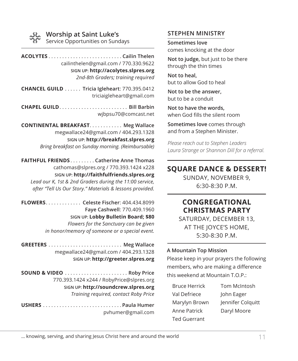### **Worship at Saint Luke's**

Service Opportunities on Sundays

**ACOLYTES**. **Cailin Thelen** cailinthelen@gmail.com / 770.330.9622 **SIGN UP: http://acolytes.slpres.org** *2nd-8th Graders; training required*

**CHANCEL GUILD**. . **Tricia Igleheart**: 770.395.0412 triciaigleheart@gmail.com

**CHAPEL GUILD**. . **Bill Barbin** wjbpsu70@comcast.net

**CONTINENTAL BREAKFAST. . . . . . . . . . . . Meg Wallace** megwallace24@gmail.com / 404.293.1328 **SIGN UP: http://breakfast.slpres.org** *Bring breakfast on Sunday morning. (Reimbursable)* 

**FAITHFUL FRIENDS**. **Catherine Anne Thomas** cathomas@slpres.org / 770.393.1424 x228 **SIGN UP: http://faithfulfriends.slpres.org** *Lead our K, 1st & 2nd Graders during the 11:00 service, after "Tell Us Our Story." Materials & lessons provided.* 

**FLOWERS**. . **Celeste Fischer**: 404.434.8099 **Faye Cashwell**: 770.409.1960 **SIGN UP: Lobby Bulletin Board; \$80** *Flowers for the Sanctuary can be given in honor/memory of someone or a special event.* 

**GREETERS**. . **Meg Wallace** megwallace24@gmail.com / 404.293.1328 **SIGN UP: http://greeter.slpres.org**

**SOUND & VIDEO**. . **Roby Price** 770.393.1424 x244 / RobyPrice@slpres.org **SIGN UP: http://soundcrew.slpres.org** *Training required, contact Roby Price*

**USHERS**. **Paula Humer** pvhumer@gmail.com

### **STEPHEN MINISTRY**

**Sometimes love** comes knocking at the door

**Not to judge,** but just to be there through the thin times

**Not to heal,** but to allow God to heal

**Not to be the answer,** but to be a conduit

**Not to have the words,** when God fills the silent room

**Sometimes love** comes through and from a Stephen Minister.

*Please reach out to Stephen Leaders Laura Strange or Shannon Dill for a referral.*

## **SQUARE DANCE & DESSERT!**

SUNDAY, NOVEMBER 9, 6:30-8:30 P.M.

## **CONGREGATIONAL CHRISTMAS PARTY**

SATURDAY, DECEMBER 13, AT THE JOYCE'S HOME, 5:30-8:30 P.M.

#### **A Mountain Top Mission**

Please keep in your prayers the following members, who are making a difference this weekend at Mountain T.O.P.:

| <b>Bruce Herrick</b> | Tom McIntosh      |
|----------------------|-------------------|
| Val Defriece         | John Eager        |
| Marylyn Brown        | Jennifer Colquitt |
| Anne Patrick         | Daryl Moore       |
| Ted Guerrant         |                   |